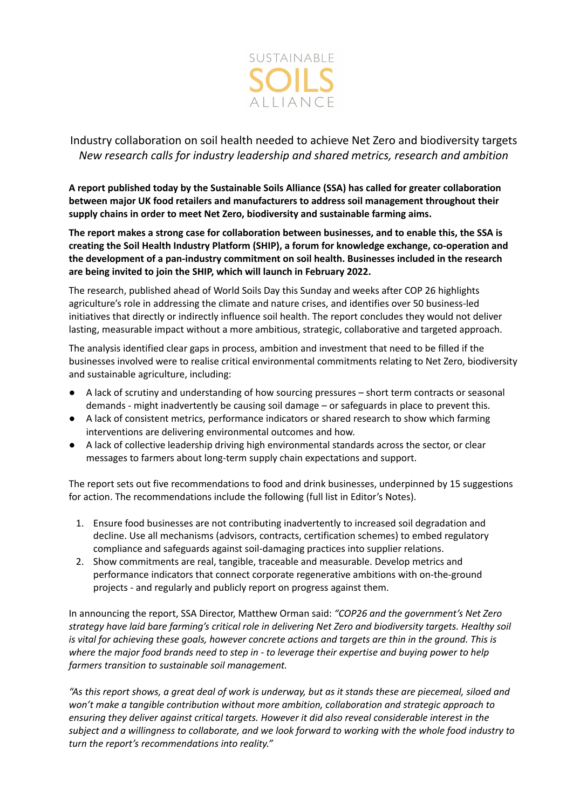

## Industry collaboration on soil health needed to achieve Net Zero and biodiversity targets *New research calls for industry leadership and shared metrics, research and ambition*

**A report published today by the Sustainable Soils Alliance (SSA) has called for greater collaboration between major UK food retailers and manufacturers to address soil management throughout their supply chains in order to meet Net Zero, biodiversity and sustainable farming aims.**

**The report makes a strong case for collaboration between businesses, and to enable this, the SSA is creating the Soil Health Industry Platform (SHIP), a forum for knowledge exchange, co-operation and the development of a pan-industry commitment on soil health. Businesses included in the research are being invited to join the SHIP, which will launch in February 2022.**

The research, published ahead of World Soils Day this Sunday and weeks after COP 26 highlights agriculture's role in addressing the climate and nature crises, and identifies over 50 business-led initiatives that directly or indirectly influence soil health. The report concludes they would not deliver lasting, measurable impact without a more ambitious, strategic, collaborative and targeted approach.

The analysis identified clear gaps in process, ambition and investment that need to be filled if the businesses involved were to realise critical environmental commitments relating to Net Zero, biodiversity and sustainable agriculture, including:

- A lack of scrutiny and understanding of how sourcing pressures short term contracts or seasonal demands - might inadvertently be causing soil damage – or safeguards in place to prevent this.
- A lack of consistent metrics, performance indicators or shared research to show which farming interventions are delivering environmental outcomes and how.
- A lack of collective leadership driving high environmental standards across the sector, or clear messages to farmers about long-term supply chain expectations and support.

The report sets out five recommendations to food and drink businesses, underpinned by 15 suggestions for action. The recommendations include the following (full list in Editor's Notes).

- 1. Ensure food businesses are not contributing inadvertently to increased soil degradation and decline. Use all mechanisms (advisors, contracts, certification schemes) to embed regulatory compliance and safeguards against soil-damaging practices into supplier relations.
- 2. Show commitments are real, tangible, traceable and measurable. Develop metrics and performance indicators that connect corporate regenerative ambitions with on-the-ground projects - and regularly and publicly report on progress against them.

In announcing the report, SSA Director, Matthew Orman said: *"COP26 and the government's Net Zero strategy have laid bare farming's critical role in delivering Net Zero and biodiversity targets. Healthy soil* is vital for achieving these goals, however concrete actions and targets are thin in the ground. This is where the major food brands need to step in - to leverage their expertise and buying power to help *farmers transition to sustainable soil management.*

"As this report shows, a great deal of work is underway, but as it stands these are piecemeal, siloed and *won't make a tangible contribution without more ambition, collaboration and strategic approach to ensuring they deliver against critical targets. However it did also reveal considerable interest in the* subject and a willingness to collaborate, and we look forward to working with the whole food industry to *turn the report's recommendations into reality."*